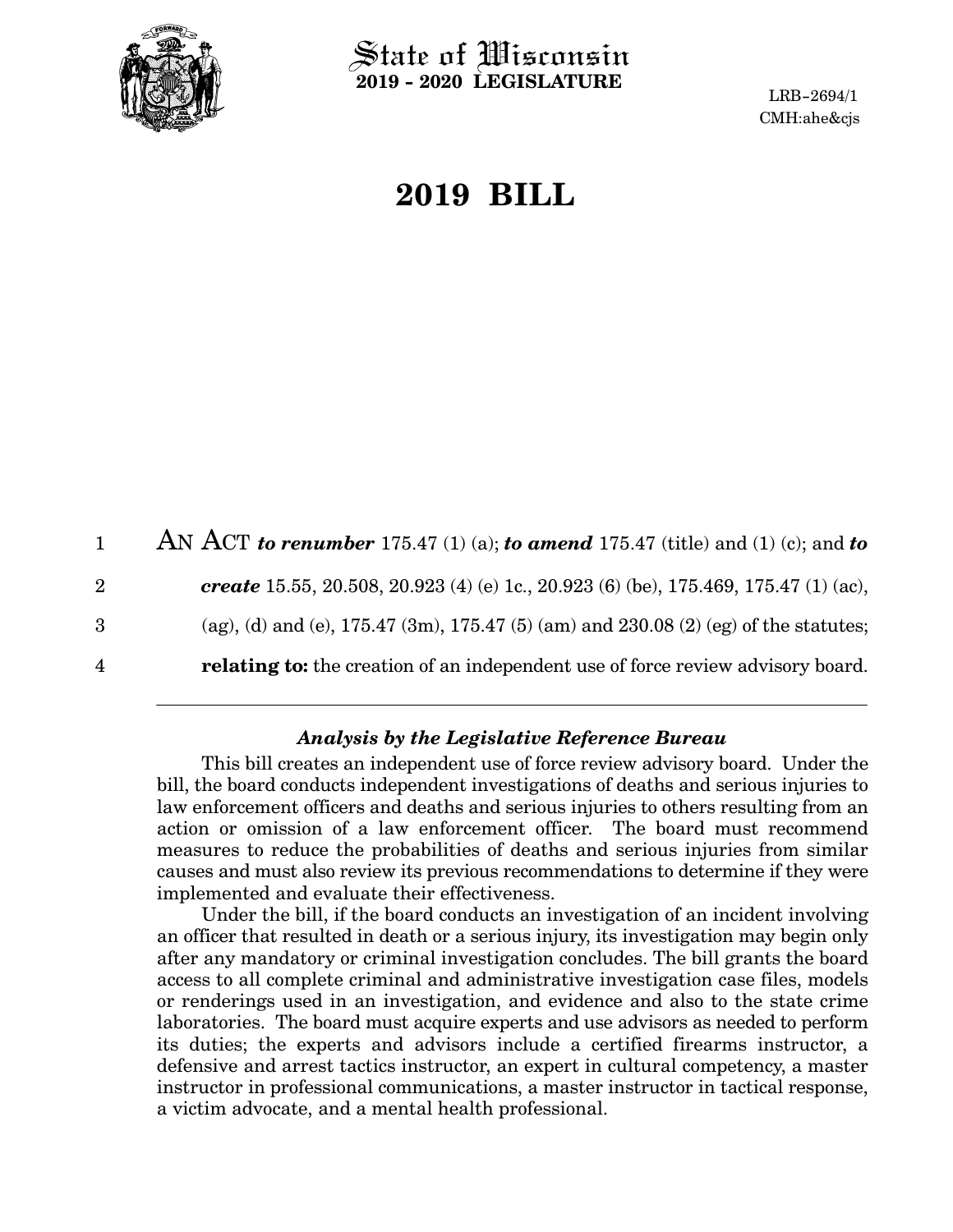

State of Wisconsin **2019 - 2020 LEGISLATURE**

LRB-2694/1 CMH:ahe&cjs

# **2019 BILL**

|                | AN ACT to renumber 175.47 (1) (a); to amend 175.47 (title) and (1) (c); and to         |
|----------------|----------------------------------------------------------------------------------------|
| $\overline{2}$ | create 15.55, 20.508, 20.923 (4) (e) 1c., 20.923 (6) (be), 175.469, 175.47 (1) (ac),   |
| 3              | (ag), (d) and (e), 175.47 (3m), 175.47 (5) (am) and 230.08 (2) (eg) of the statutes;   |
| $\overline{4}$ | <b>relating to:</b> the creation of an independent use of force review advisory board. |
|                |                                                                                        |

### *Analysis by the Legislative Reference Bureau*

This bill creates an independent use of force review advisory board. Under the bill, the board conducts independent investigations of deaths and serious injuries to law enforcement officers and deaths and serious injuries to others resulting from an action or omission of a law enforcement officer. The board must recommend measures to reduce the probabilities of deaths and serious injuries from similar causes and must also review its previous recommendations to determine if they were implemented and evaluate their effectiveness.

Under the bill, if the board conducts an investigation of an incident involving an officer that resulted in death or a serious injury, its investigation may begin only after any mandatory or criminal investigation concludes. The bill grants the board access to all complete criminal and administrative investigation case files, models or renderings used in an investigation, and evidence and also to the state crime laboratories. The board must acquire experts and use advisors as needed to perform its duties; the experts and advisors include a certified firearms instructor, a defensive and arrest tactics instructor, an expert in cultural competency, a master instructor in professional communications, a master instructor in tactical response, a victim advocate, and a mental health professional.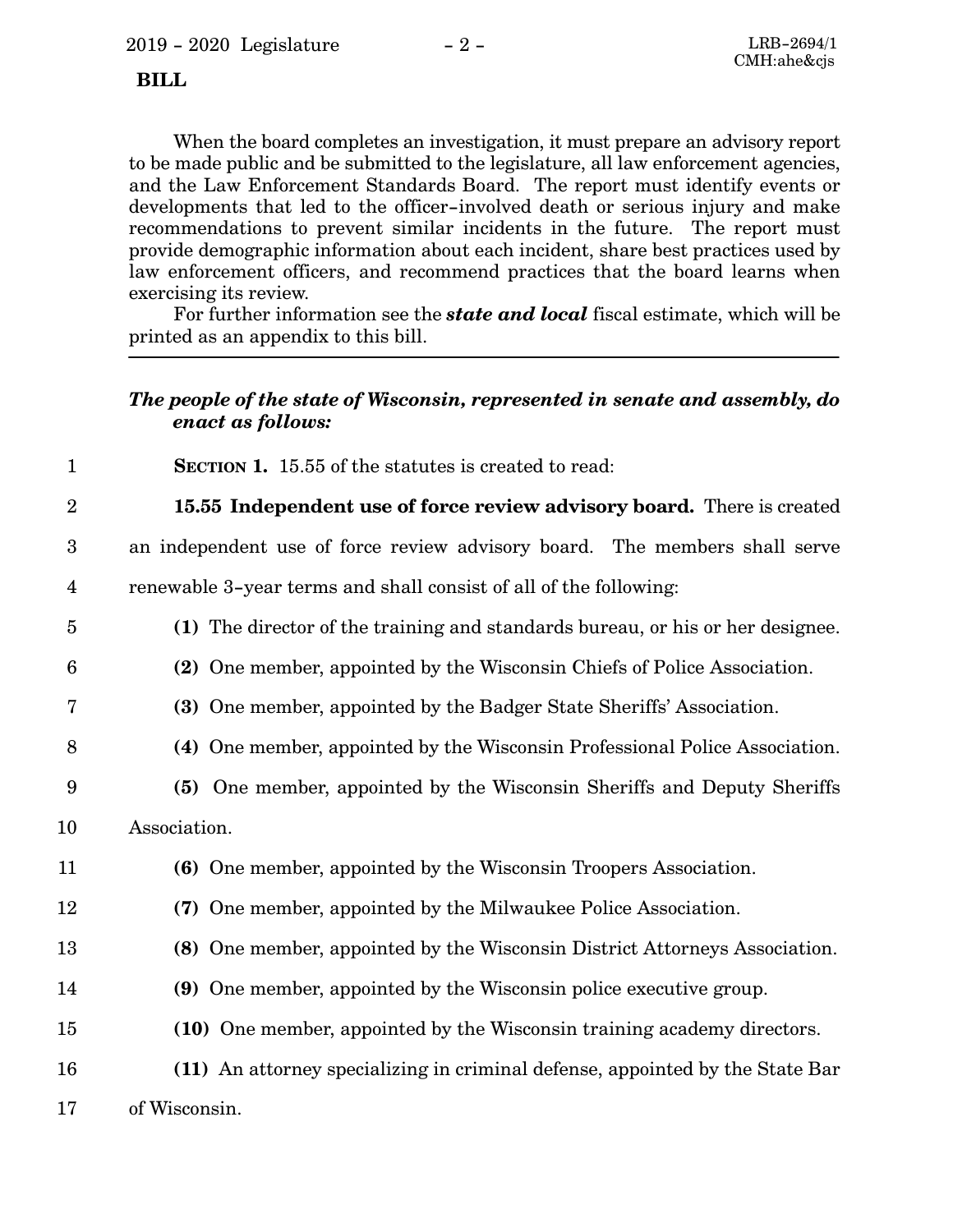### **BILL**

When the board completes an investigation, it must prepare an advisory report to be made public and be submitted to the legislature, all law enforcement agencies, and the Law Enforcement Standards Board. The report must identify events or developments that led to the officer-involved death or serious injury and make recommendations to prevent similar incidents in the future. The report must provide demographic information about each incident, share best practices used by law enforcement officers, and recommend practices that the board learns when exercising its review.

For further information see the *state and local* fiscal estimate, which will be printed as an appendix to this bill.

## *The people of the state of Wisconsin, represented in senate and assembly, do enact as follows:*

- **SECTION 1.** 15.55 of the statutes is created to read:
- **15.55 Independent use of force review advisory board.** There is created 2
- an independent use of force review advisory board. The members shall serve renewable 3-year terms and shall consist of all of the following: 3 4
- **(1)** The director of the training and standards bureau, or his or her designee. 5
- **(2)** One member, appointed by the Wisconsin Chiefs of Police Association. 6
- **(3)** One member, appointed by the Badger State Sheriffs' Association. 7
- **(4)** One member, appointed by the Wisconsin Professional Police Association. 8
- **(5)** One member, appointed by the Wisconsin Sheriffs and Deputy Sheriffs 9

Association. 10

1

- **(6)** One member, appointed by the Wisconsin Troopers Association. 11
- **(7)** One member, appointed by the Milwaukee Police Association. 12
- **(8)** One member, appointed by the Wisconsin District Attorneys Association. 13
- **(9)** One member, appointed by the Wisconsin police executive group. 14
- **(10)** One member, appointed by the Wisconsin training academy directors. 15
- **(11)** An attorney specializing in criminal defense, appointed by the State Bar 16
- of Wisconsin. 17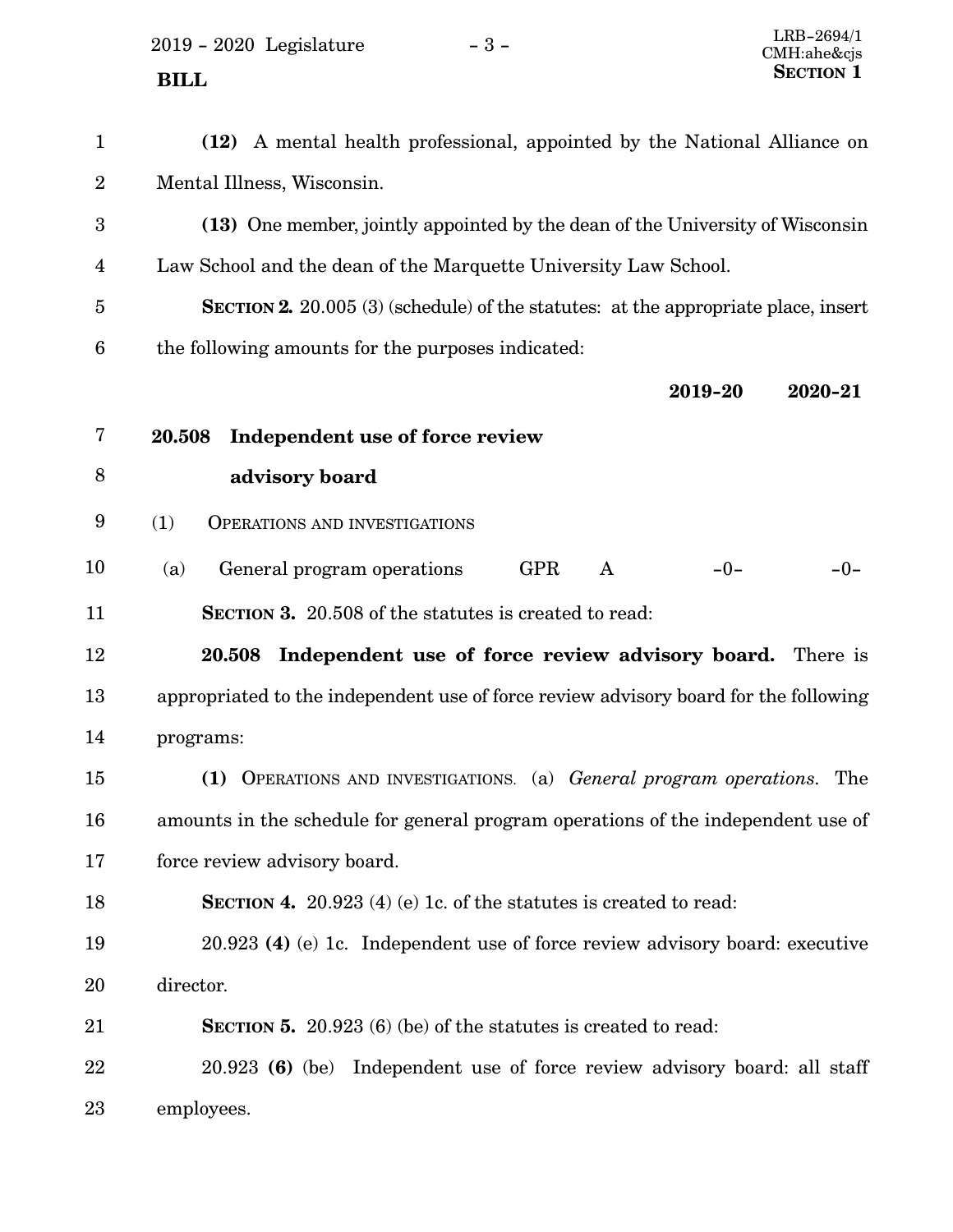2019 - 2020 Legislature - 3 -**SECTION** 1

| $\mathbf{1}$            | (12) A mental health professional, appointed by the National Alliance on                  |
|-------------------------|-------------------------------------------------------------------------------------------|
| $\sqrt{2}$              | Mental Illness, Wisconsin.                                                                |
| $\boldsymbol{3}$        | (13) One member, jointly appointed by the dean of the University of Wisconsin             |
| $\overline{\mathbf{4}}$ | Law School and the dean of the Marquette University Law School.                           |
| $\bf 5$                 | <b>SECTION 2.</b> 20.005 (3) (schedule) of the statutes: at the appropriate place, insert |
| $\boldsymbol{6}$        | the following amounts for the purposes indicated:                                         |
|                         | 2019-20<br>2020-21                                                                        |
| $\bf 7$                 | Independent use of force review<br>20.508                                                 |
| $8\,$                   | advisory board                                                                            |
| 9                       | (1)<br><b>OPERATIONS AND INVESTIGATIONS</b>                                               |
| 10                      | General program operations<br><b>GPR</b><br>$-0-$<br>$-0-$<br>(a)<br>A                    |
| 11                      | <b>SECTION 3.</b> 20.508 of the statutes is created to read:                              |
| 12                      | 20.508 Independent use of force review advisory board. There is                           |
| 13                      | appropriated to the independent use of force review advisory board for the following      |
| 14                      | programs:                                                                                 |
| 15                      | (1) OPERATIONS AND INVESTIGATIONS. (a) General program operations. The                    |
| 16                      | amounts in the schedule for general program operations of the independent use of          |
| 17                      | force review advisory board.                                                              |
| 18                      | <b>SECTION 4.</b> 20.923 (4) (e) 1c. of the statures is created to read:                  |
| 19                      | 20.923 (4) (e) 1c. Independent use of force review advisory board: executive              |
| 20                      | director.                                                                                 |
| 21                      | <b>SECTION 5.</b> 20.923 (6) (be) of the statutes is created to read:                     |
| 22                      | 20.923 (6) (be) Independent use of force review advisory board: all staff                 |
| 23                      | employees.                                                                                |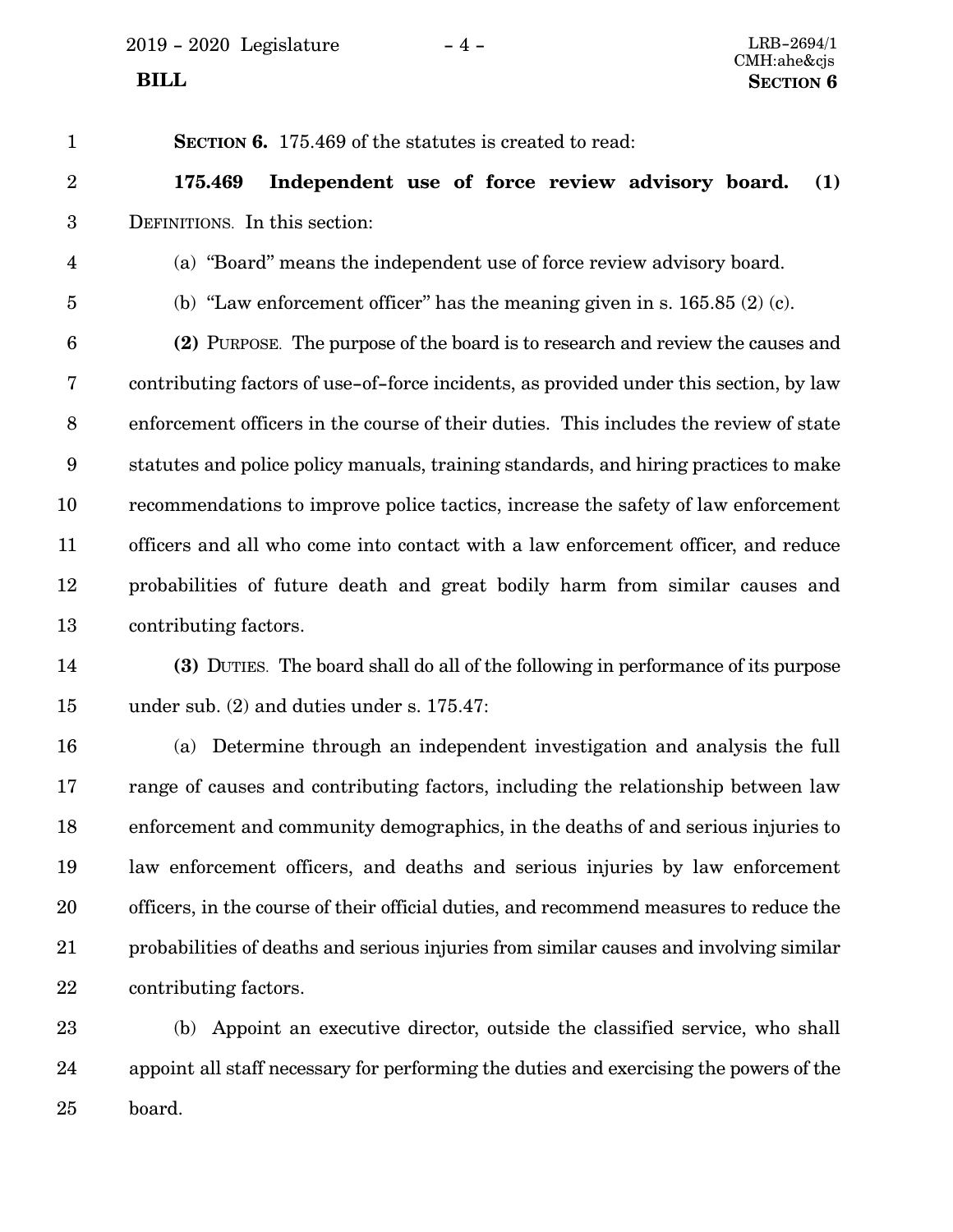**SECTION 6.** 175.469 of the statutes is created to read:

**175.469 Independent use of force review advisory board. (1)** DEFINITIONS. In this section: 2 3

- (a) "Board" means the independent use of force review advisory board. 4
- 5

1

(b) "Law enforcement officer" has the meaning given in s.  $165.85(2)(c)$ .

**(2)** PURPOSE. The purpose of the board is to research and review the causes and contributing factors of use-of-force incidents, as provided under this section, by law enforcement officers in the course of their duties. This includes the review of state statutes and police policy manuals, training standards, and hiring practices to make recommendations to improve police tactics, increase the safety of law enforcement officers and all who come into contact with a law enforcement officer, and reduce probabilities of future death and great bodily harm from similar causes and contributing factors. 6 7 8 9 10 11 12 13

**(3)** DUTIES. The board shall do all of the following in performance of its purpose under sub. (2) and duties under s. 175.47: 14 15

(a) Determine through an independent investigation and analysis the full range of causes and contributing factors, including the relationship between law enforcement and community demographics, in the deaths of and serious injuries to law enforcement officers, and deaths and serious injuries by law enforcement officers, in the course of their official duties, and recommend measures to reduce the probabilities of deaths and serious injuries from similar causes and involving similar contributing factors. 16 17 18 19 20 21 22

(b) Appoint an executive director, outside the classified service, who shall appoint all staff necessary for performing the duties and exercising the powers of the board. 23 24 25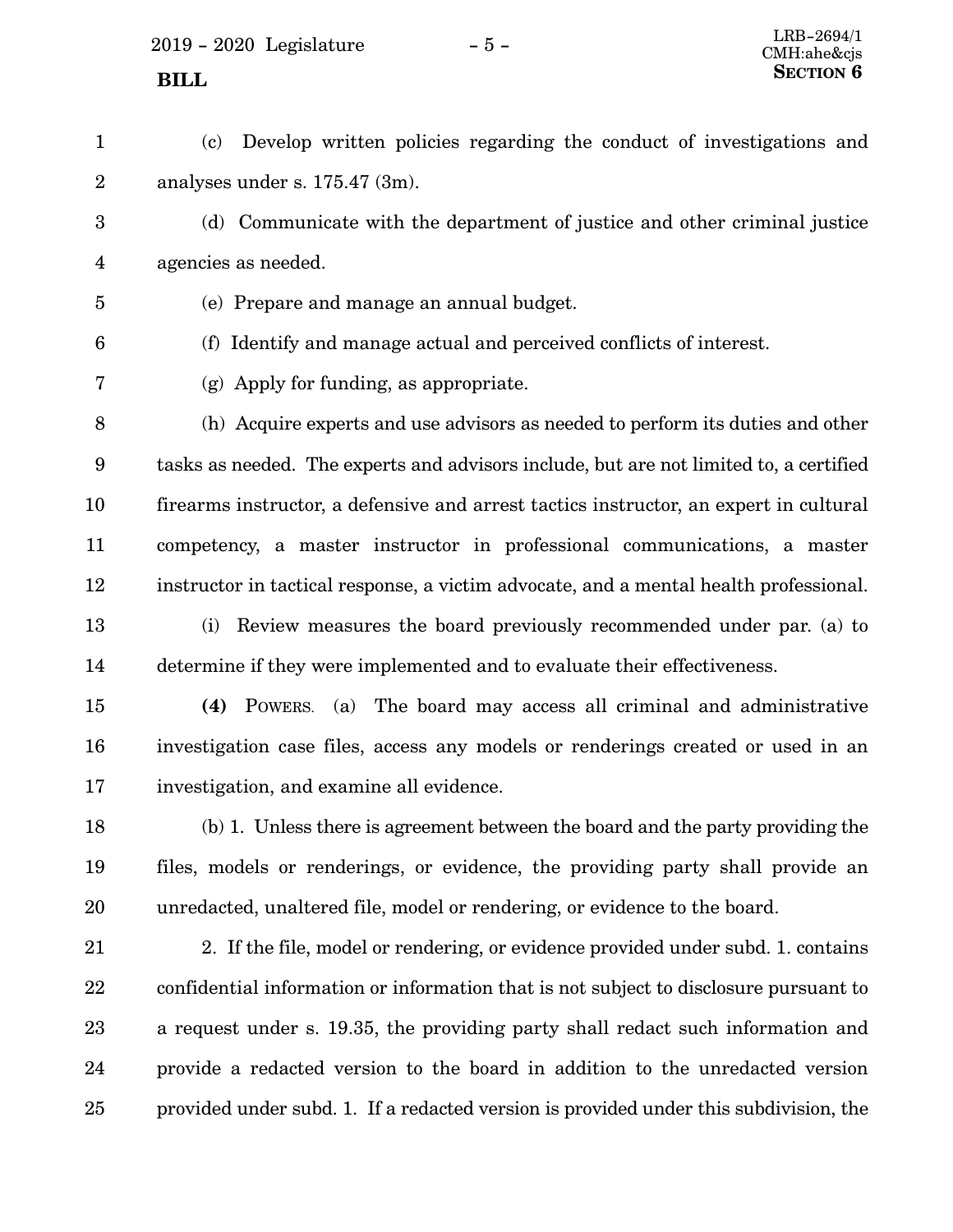$2019 - 2020$  Legislature  $-5 -$  LRB-2694/1

(c) Develop written policies regarding the conduct of investigations and analyses under s. 175.47 (3m). 1 2

(d) Communicate with the department of justice and other criminal justice agencies as needed. 3 4

5

7

(e) Prepare and manage an annual budget.

6

(f) Identify and manage actual and perceived conflicts of interest.

(g) Apply for funding, as appropriate.

(h) Acquire experts and use advisors as needed to perform its duties and other tasks as needed. The experts and advisors include, but are not limited to, a certified firearms instructor, a defensive and arrest tactics instructor, an expert in cultural competency, a master instructor in professional communications, a master instructor in tactical response, a victim advocate, and a mental health professional. 8 9 10 11 12

(i) Review measures the board previously recommended under par. (a) to determine if they were implemented and to evaluate their effectiveness. 13 14

**(4)** POWERS. (a) The board may access all criminal and administrative investigation case files, access any models or renderings created or used in an investigation, and examine all evidence. 15 16 17

(b) 1. Unless there is agreement between the board and the party providing the files, models or renderings, or evidence, the providing party shall provide an unredacted, unaltered file, model or rendering, or evidence to the board. 18 19 20

2. If the file, model or rendering, or evidence provided under subd. 1. contains confidential information or information that is not subject to disclosure pursuant to a request under s. 19.35, the providing party shall redact such information and provide a redacted version to the board in addition to the unredacted version provided under subd. 1. If a redacted version is provided under this subdivision, the 21 22 23 24 25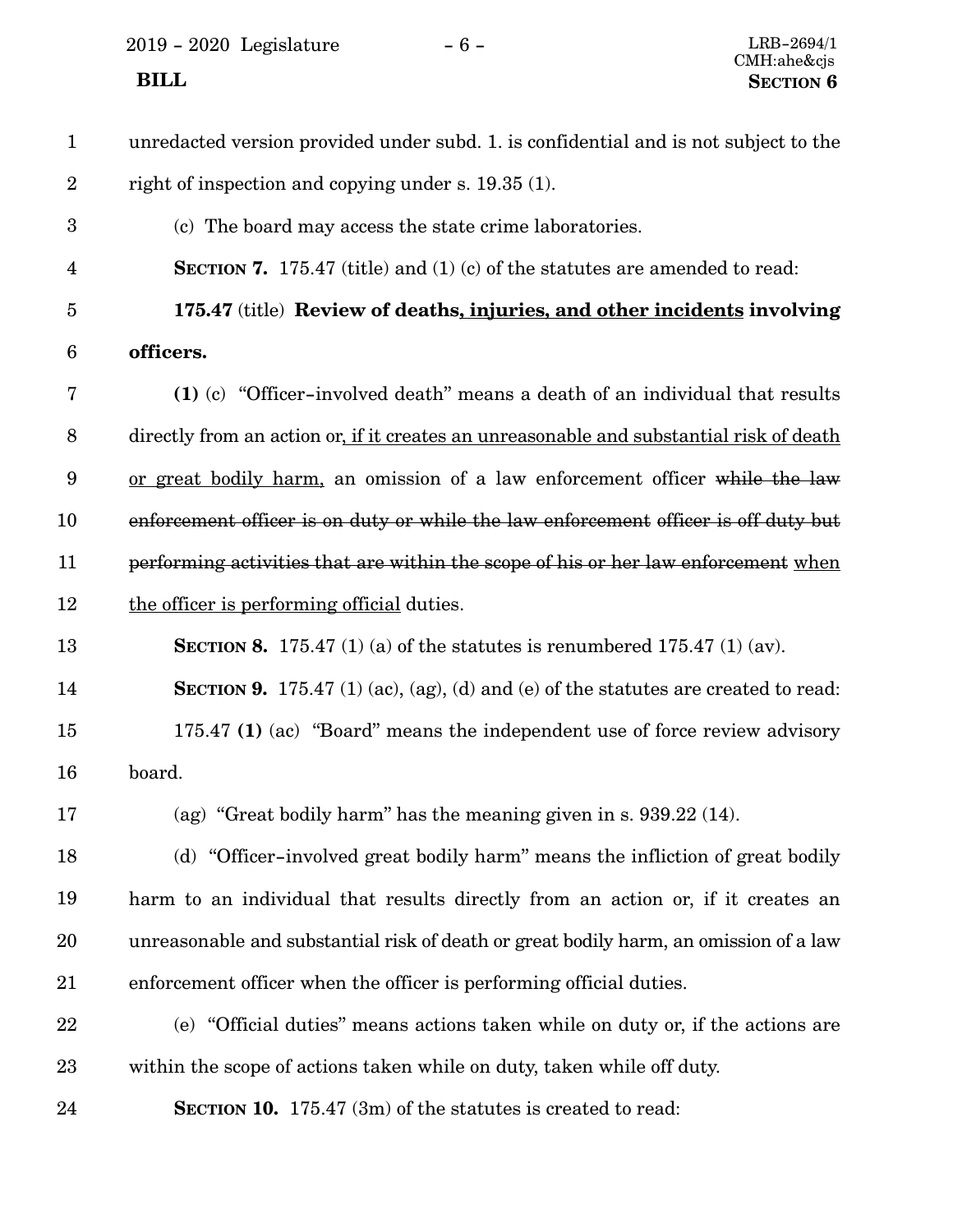2019 - 2020 Legislature - 6 -

| $\mathbf{1}$            | unredacted version provided under subd. 1. is confidential and is not subject to the      |
|-------------------------|-------------------------------------------------------------------------------------------|
| $\sqrt{2}$              | right of inspection and copying under s. 19.35 (1).                                       |
| $\boldsymbol{3}$        | (c) The board may access the state crime laboratories.                                    |
| $\overline{\mathbf{4}}$ | <b>SECTION 7.</b> 175.47 (title) and (1) (c) of the statutes are amended to read:         |
| $\overline{5}$          | 175.47 (title) Review of deaths, injuries, and other incidents involving                  |
| $6\phantom{.}6$         | officers.                                                                                 |
| 7                       | (1) (c) "Officer-involved death" means a death of an individual that results              |
| $8\,$                   | directly from an action or, if it creates an unreasonable and substantial risk of death   |
| 9                       | or great bodily harm, an omission of a law enforcement officer while the law              |
| 10                      | enforcement officer is on duty or while the law enforcement officer is off duty but       |
| 11                      | performing activities that are within the scope of his or her law enforcement when        |
| 12                      | the officer is performing official duties.                                                |
| 13                      | <b>SECTION 8.</b> 175.47 (1) (a) of the statutes is renumbered 175.47 (1) (av).           |
| 14                      | <b>SECTION 9.</b> 175.47 (1) (ac), (ag), (d) and (e) of the statutes are created to read: |
| 15                      | 175.47 (1) (ac) "Board" means the independent use of force review advisory                |
| 16                      | board.                                                                                    |
| 17                      | (ag) "Great bodily harm" has the meaning given in s. $939.22$ (14).                       |
| 18                      | (d) "Officer-involved great bodily harm" means the infliction of great bodily             |
| 19                      | harm to an individual that results directly from an action or, if it creates an           |
| 20                      | unreasonable and substantial risk of death or great bodily harm, an omission of a law     |
| 21                      | enforcement officer when the officer is performing official duties.                       |
| 22                      | (e) "Official duties" means actions taken while on duty or, if the actions are            |
| 23                      | within the scope of actions taken while on duty, taken while off duty.                    |
| 24                      | <b>SECTION 10.</b> 175.47 (3m) of the statutes is created to read:                        |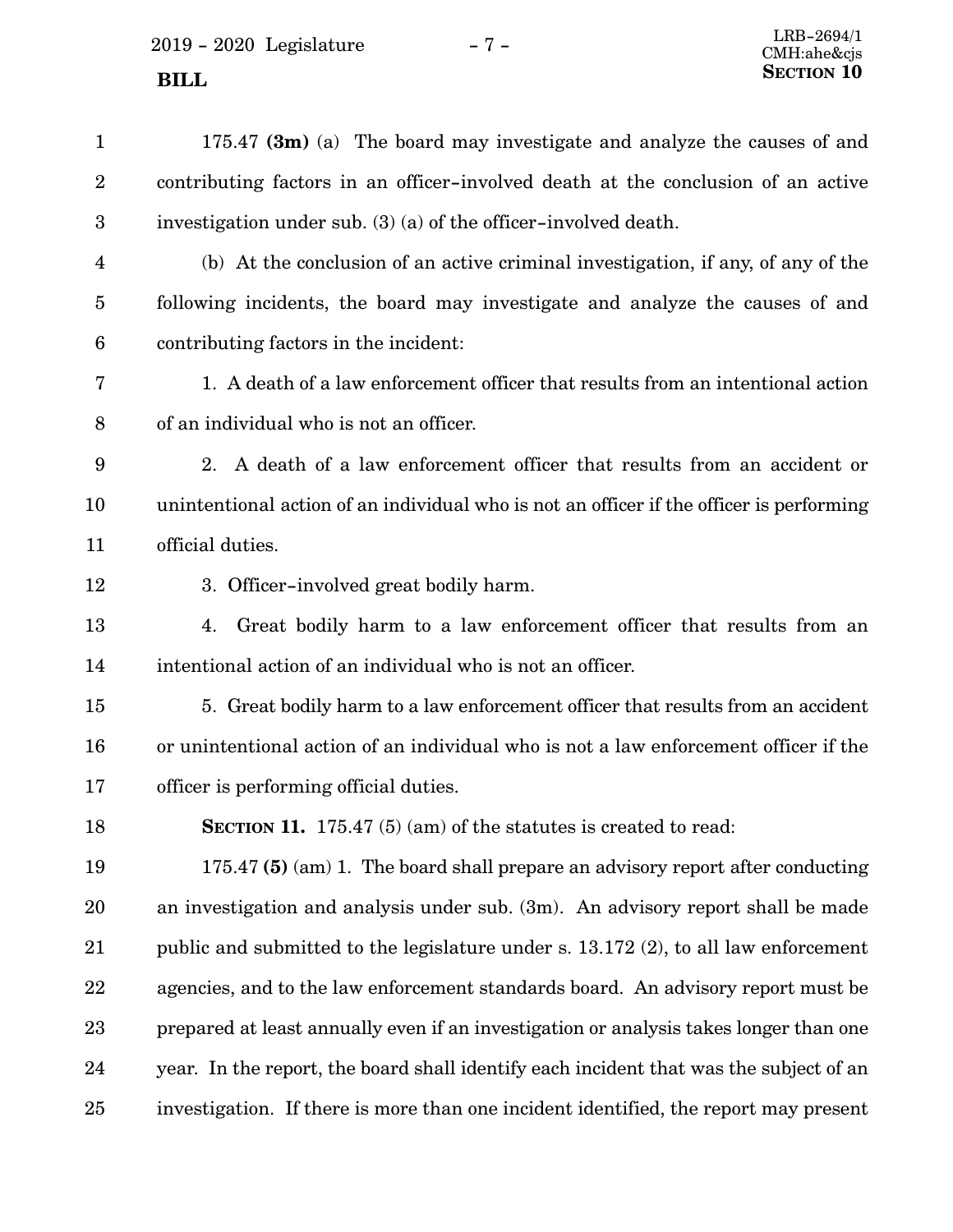175.47 **(3m)** (a) The board may investigate and analyze the causes of and contributing factors in an officer-involved death at the conclusion of an active investigation under sub. (3) (a) of the officer-involved death. (b) At the conclusion of an active criminal investigation, if any, of any of the following incidents, the board may investigate and analyze the causes of and contributing factors in the incident: 1. A death of a law enforcement officer that results from an intentional action of an individual who is not an officer. 2. A death of a law enforcement officer that results from an accident or unintentional action of an individual who is not an officer if the officer is performing official duties. 3. Officer-involved great bodily harm. 4. Great bodily harm to a law enforcement officer that results from an intentional action of an individual who is not an officer. 5. Great bodily harm to a law enforcement officer that results from an accident or unintentional action of an individual who is not a law enforcement officer if the officer is performing official duties. **SECTION 11.** 175.47 (5) (am) of the statutes is created to read: 175.47 **(5)** (am) 1. The board shall prepare an advisory report after conducting an investigation and analysis under sub. (3m). An advisory report shall be made public and submitted to the legislature under s. 13.172 (2), to all law enforcement agencies, and to the law enforcement standards board. An advisory report must be prepared at least annually even if an investigation or analysis takes longer than one year. In the report, the board shall identify each incident that was the subject of an investigation. If there is more than one incident identified, the report may present 1 2 3 4 5 6 7 8 9 10 11 12 13 14 15 16 17 18 19 20 21 22 23 24 25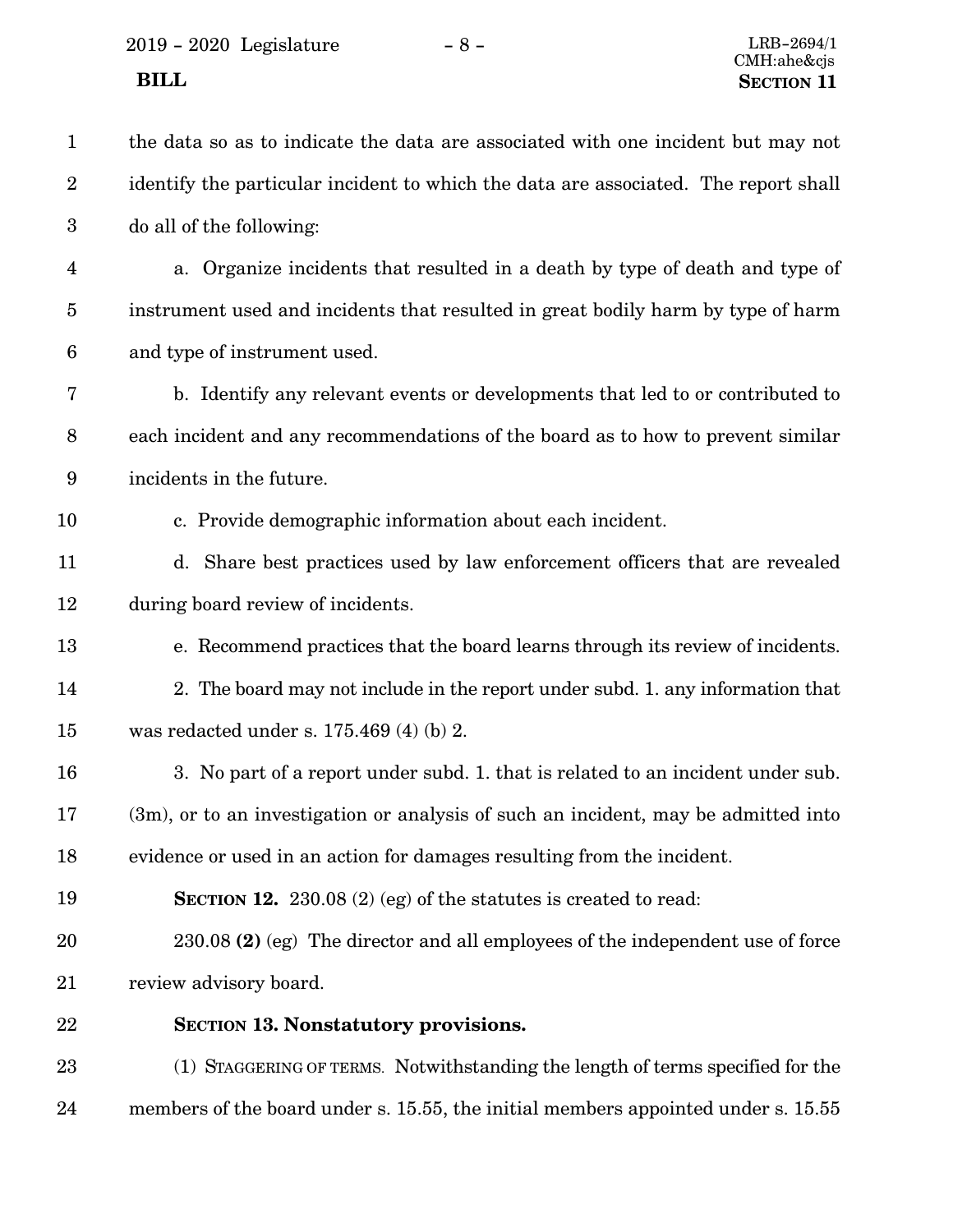| $\mathbf{1}$            | the data so as to indicate the data are associated with one incident but may not    |
|-------------------------|-------------------------------------------------------------------------------------|
| $\boldsymbol{2}$        | identify the particular incident to which the data are associated. The report shall |
| $\boldsymbol{3}$        | do all of the following:                                                            |
| $\overline{\mathbf{4}}$ | a. Organize incidents that resulted in a death by type of death and type of         |
| $\overline{5}$          | instrument used and incidents that resulted in great bodily harm by type of harm    |
| $\boldsymbol{6}$        | and type of instrument used.                                                        |
| 7                       | b. Identify any relevant events or developments that led to or contributed to       |
| $\, 8$                  | each incident and any recommendations of the board as to how to prevent similar     |
| 9                       | incidents in the future.                                                            |
| 10                      | c. Provide demographic information about each incident.                             |
| 11                      | d. Share best practices used by law enforcement officers that are revealed          |
| 12                      | during board review of incidents.                                                   |
| 13                      | e. Recommend practices that the board learns through its review of incidents.       |
| 14                      | 2. The board may not include in the report under subd. 1. any information that      |
| 15                      | was redacted under s. $175.469$ (4) (b) 2.                                          |
| 16                      | 3. No part of a report under subd. 1. that is related to an incident under sub.     |
| 17                      | (3m), or to an investigation or analysis of such an incident, may be admitted into  |
| 18                      | evidence or used in an action for damages resulting from the incident.              |
| 19                      | <b>SECTION 12.</b> 230.08 (2) (eg) of the statures is created to read:              |
| 20                      | 230.08 (2) (eg) The director and all employees of the independent use of force      |
| 21                      | review advisory board.                                                              |
| 22                      | <b>SECTION 13. Nonstatutory provisions.</b>                                         |
| 23                      | (1) STAGGERING OF TERMS. Notwithstanding the length of terms specified for the      |
| 24                      | members of the board under s. 15.55, the initial members appointed under s. 15.55   |